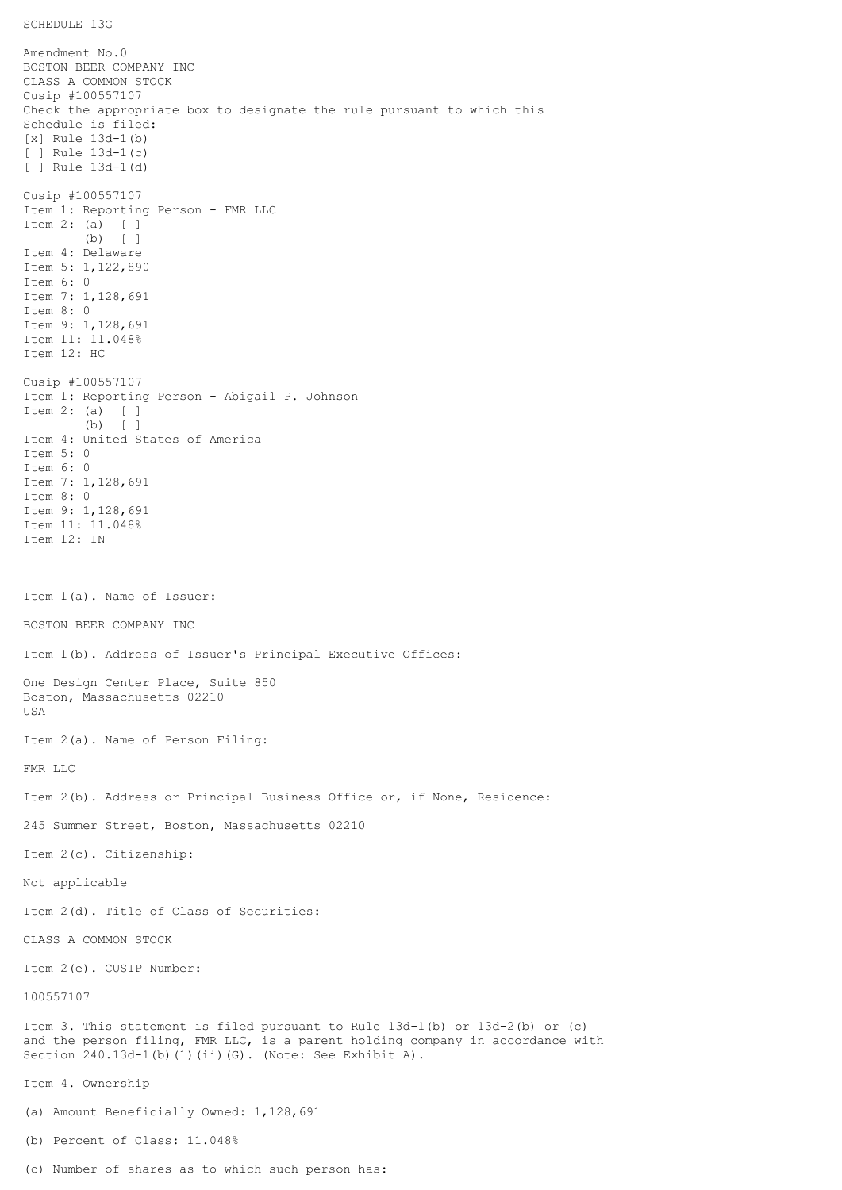## SCHEDULE 13G

Amendment No.0 BOSTON BEER COMPANY INC CLASS A COMMON STOCK Cusip #100557107 Check the appropriate box to designate the rule pursuant to which this Schedule is filed: [x] Rule 13d-1(b) [ ] Rule 13d-1(c) [ ] Rule 13d-1(d) Cusip #100557107 Item 1: Reporting Person - FMR LLC Item 2: (a) [ ] (b) [ ] Item 4: Delaware Item 5: 1,122,890 Item 6: 0 Item 7: 1,128,691 Item 8: 0 Item 9: 1,128,691 Item 11: 11.048% Item 12: HC Cusip #100557107 Item 1: Reporting Person - Abigail P. Johnson Item 2: (a) [ ] (b) [ ] Item 4: United States of America Item 5: 0 Item 6: 0 Item 7: 1,128,691 Item 8: 0 Item 9: 1,128,691 Item 11: 11.048% Item 12: IN Item 1(a). Name of Issuer: BOSTON BEER COMPANY INC Item 1(b). Address of Issuer's Principal Executive Offices: One Design Center Place, Suite 850 Boston, Massachusetts 02210 USA Item 2(a). Name of Person Filing: FMR LLC Item 2(b). Address or Principal Business Office or, if None, Residence: 245 Summer Street, Boston, Massachusetts 02210 Item 2(c). Citizenship: Not applicable Item 2(d). Title of Class of Securities: CLASS A COMMON STOCK Item 2(e). CUSIP Number: 100557107 Item 3. This statement is filed pursuant to Rule 13d-1(b) or 13d-2(b) or (c) and the person filing, FMR LLC, is a parent holding company in accordance with Section 240.13d-1(b)(1)(ii)(G). (Note: See Exhibit A). Item 4. Ownership (a) Amount Beneficially Owned: 1,128,691 (b) Percent of Class: 11.048%

(c) Number of shares as to which such person has: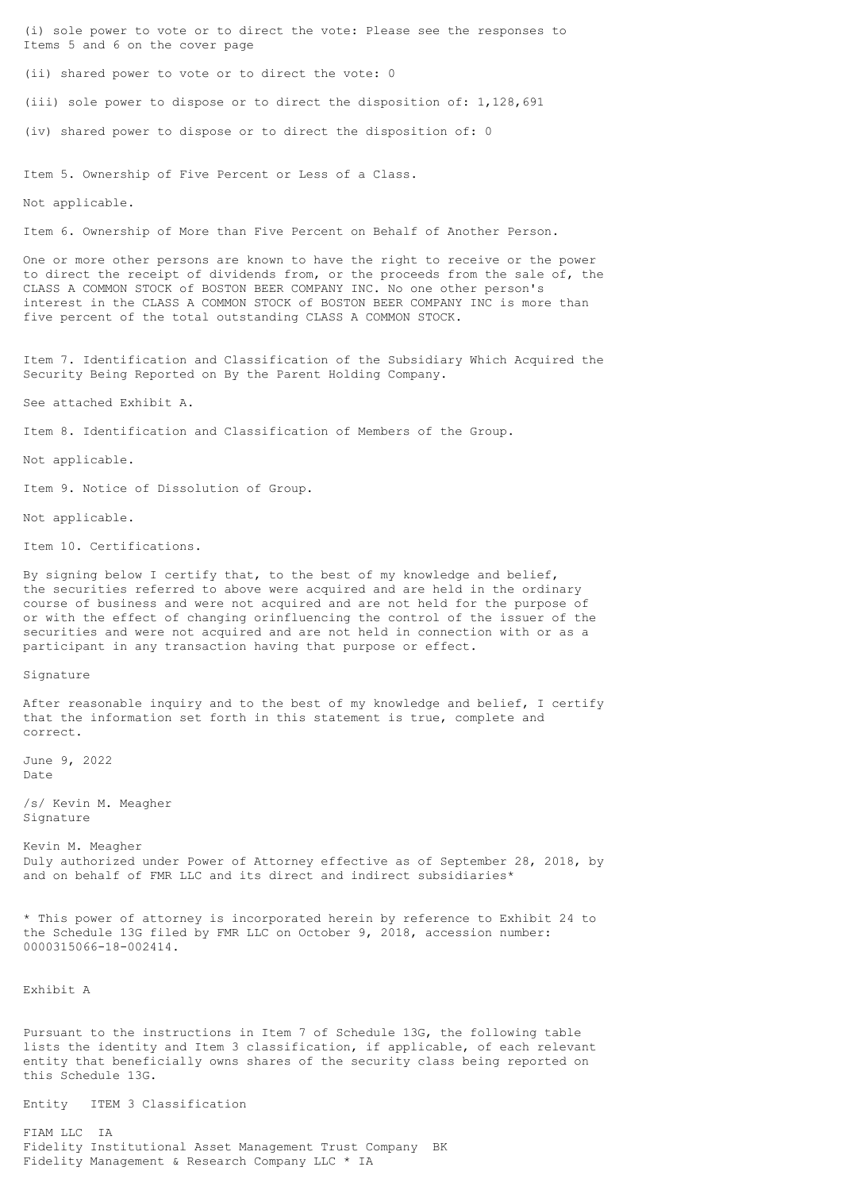(i) sole power to vote or to direct the vote: Please see the responses to Items 5 and 6 on the cover page

(ii) shared power to vote or to direct the vote: 0

(iii) sole power to dispose or to direct the disposition of: 1,128,691

(iv) shared power to dispose or to direct the disposition of: 0

Item 5. Ownership of Five Percent or Less of a Class.

Not applicable.

Item 6. Ownership of More than Five Percent on Behalf of Another Person.

One or more other persons are known to have the right to receive or the power to direct the receipt of dividends from, or the proceeds from the sale of, the CLASS A COMMON STOCK of BOSTON BEER COMPANY INC. No one other person's interest in the CLASS A COMMON STOCK of BOSTON BEER COMPANY INC is more than five percent of the total outstanding CLASS A COMMON STOCK.

Item 7. Identification and Classification of the Subsidiary Which Acquired the Security Being Reported on By the Parent Holding Company.

See attached Exhibit A.

Item 8. Identification and Classification of Members of the Group.

Not applicable.

Item 9. Notice of Dissolution of Group.

Not applicable.

Item 10. Certifications.

By signing below I certify that, to the best of my knowledge and belief, the securities referred to above were acquired and are held in the ordinary course of business and were not acquired and are not held for the purpose of or with the effect of changing orinfluencing the control of the issuer of the securities and were not acquired and are not held in connection with or as a participant in any transaction having that purpose or effect.

Signature

After reasonable inquiry and to the best of my knowledge and belief, I certify that the information set forth in this statement is true, complete and correct.

June 9, 2022 Date

/s/ Kevin M. Meagher Signature

Kevin M. Meagher Duly authorized under Power of Attorney effective as of September 28, 2018, by and on behalf of FMR LLC and its direct and indirect subsidiaries\*

\* This power of attorney is incorporated herein by reference to Exhibit 24 to the Schedule 13G filed by FMR LLC on October 9, 2018, accession number: 0000315066-18-002414.

Exhibit A

Pursuant to the instructions in Item 7 of Schedule 13G, the following table lists the identity and Item 3 classification, if applicable, of each relevant entity that beneficially owns shares of the security class being reported on this Schedule 13G.

Entity ITEM 3 Classification

FIAM LLC IA Fidelity Institutional Asset Management Trust Company BK Fidelity Management & Research Company LLC \* IA